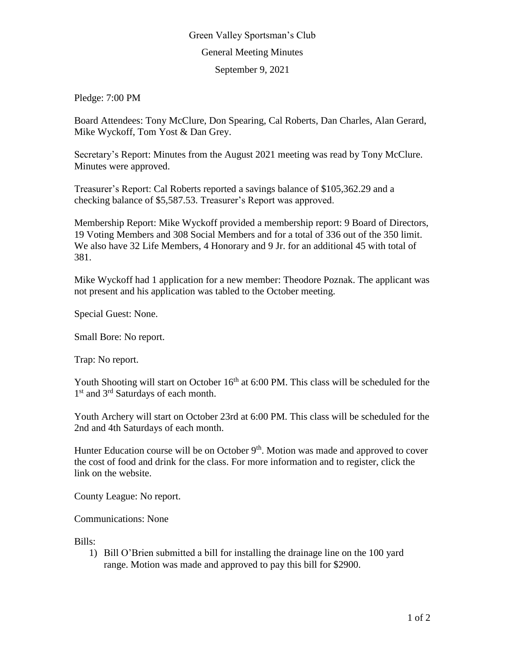## Green Valley Sportsman's Club General Meeting Minutes September 9, 2021

Pledge: 7:00 PM

Board Attendees: Tony McClure, Don Spearing, Cal Roberts, Dan Charles, Alan Gerard, Mike Wyckoff, Tom Yost & Dan Grey.

Secretary's Report: Minutes from the August 2021 meeting was read by Tony McClure. Minutes were approved.

Treasurer's Report: Cal Roberts reported a savings balance of \$105,362.29 and a checking balance of \$5,587.53. Treasurer's Report was approved.

Membership Report: Mike Wyckoff provided a membership report: 9 Board of Directors, 19 Voting Members and 308 Social Members and for a total of 336 out of the 350 limit. We also have 32 Life Members, 4 Honorary and 9 Jr. for an additional 45 with total of 381.

Mike Wyckoff had 1 application for a new member: Theodore Poznak. The applicant was not present and his application was tabled to the October meeting.

Special Guest: None.

Small Bore: No report.

Trap: No report.

Youth Shooting will start on October  $16<sup>th</sup>$  at 6:00 PM. This class will be scheduled for the 1<sup>st</sup> and 3<sup>rd</sup> Saturdays of each month.

Youth Archery will start on October 23rd at 6:00 PM. This class will be scheduled for the 2nd and 4th Saturdays of each month.

Hunter Education course will be on October  $9<sup>th</sup>$ . Motion was made and approved to cover the cost of food and drink for the class. For more information and to register, click the link on the website.

County League: No report.

Communications: None

Bills:

1) Bill O'Brien submitted a bill for installing the drainage line on the 100 yard range. Motion was made and approved to pay this bill for \$2900.